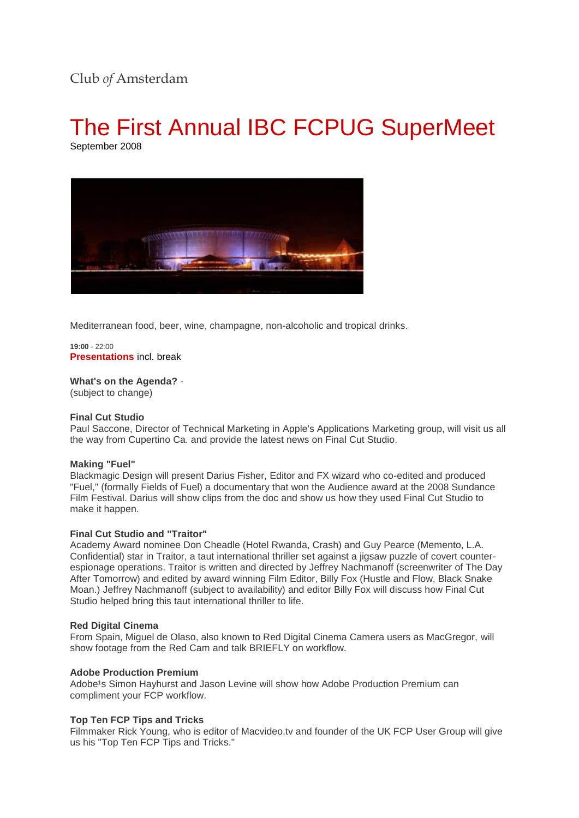# Club *of* Amsterdam

# The First Annual IBC FCPUG SuperMeet

September 2008



Mediterranean food, beer, wine, champagne, non-alcoholic and tropical drinks.

**19:00** - 22:00 **Presentations** incl. break

**What's on the Agenda?** - (subject to change)

# **Final Cut Studio**

Paul Saccone, Director of Technical Marketing in Apple's Applications Marketing group, will visit us all the way from Cupertino Ca. and provide the latest news on Final Cut Studio.

### **Making "Fuel"**

Blackmagic Design will present Darius Fisher, Editor and FX wizard who co-edited and produced "Fuel," (formally Fields of Fuel) a documentary that won the Audience award at the 2008 Sundance Film Festival. Darius will show clips from the doc and show us how they used Final Cut Studio to make it happen.

#### **Final Cut Studio and "Traitor"**

Academy Award nominee Don Cheadle (Hotel Rwanda, Crash) and Guy Pearce (Memento, L.A. Confidential) star in Traitor, a taut international thriller set against a jigsaw puzzle of covert counterespionage operations. Traitor is written and directed by Jeffrey Nachmanoff (screenwriter of The Day After Tomorrow) and edited by award winning Film Editor, Billy Fox (Hustle and Flow, Black Snake Moan.) Jeffrey Nachmanoff (subject to availability) and editor Billy Fox will discuss how Final Cut Studio helped bring this taut international thriller to life.

#### **Red Digital Cinema**

From Spain, Miguel de Olaso, also known to Red Digital Cinema Camera users as MacGregor, will show footage from the Red Cam and talk BRIEFLY on workflow.

#### **Adobe Production Premium**

Adobe<sup>1</sup>s Simon Hayhurst and Jason Levine will show how Adobe Production Premium can compliment your FCP workflow.

#### **Top Ten FCP Tips and Tricks**

Filmmaker Rick Young, who is editor of Macvideo.tv and founder of the UK FCP User Group will give us his "Top Ten FCP Tips and Tricks."